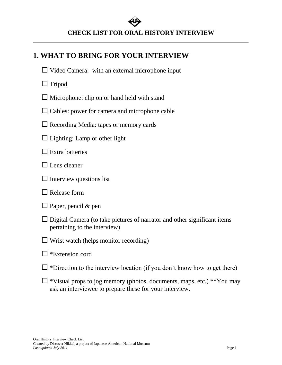# **CHECK LIST FOR ORAL HISTORY INTERVIEW**

# **1. WHAT TO BRING FOR YOUR INTERVIEW**

- $\Box$  Video Camera: with an external microphone input
- $\Box$  Tripod
- $\Box$  Microphone: clip on or hand held with stand
- $\Box$  Cables: power for camera and microphone cable
- $\square$  Recording Media: tapes or memory cards
- $\Box$  Lighting: Lamp or other light
- $\Box$  Extra batteries
- $\Box$  Lens cleaner
- $\Box$  Interview questions list
- $\Box$  Release form
- $\Box$  Paper, pencil & pen
- $\Box$  Digital Camera (to take pictures of narrator and other significant items pertaining to the interview)
- $\Box$  Wrist watch (helps monitor recording)
- $\square$  \*Extension cord
- $\Box$  \*Direction to the interview location (if you don't know how to get there)
- $\Box$  \*Visual props to jog memory (photos, documents, maps, etc.) \*\*You may ask an interviewee to prepare these for your interview.